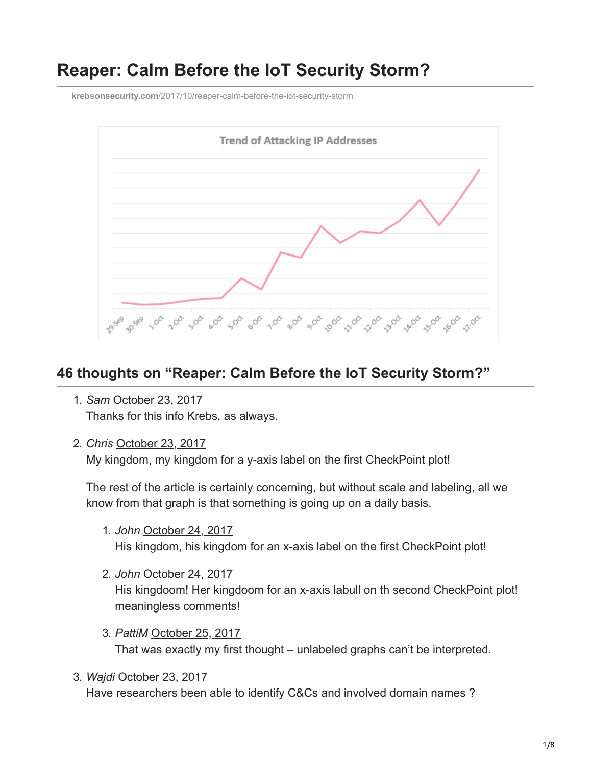# **Reaper: Calm Before the IoT Security Storm?**

**krebsonsecurity.com**[/2017/10/reaper-calm-before-the-iot-security-storm](https://krebsonsecurity.com/2017/10/reaper-calm-before-the-iot-security-storm)



## **46 thoughts on "Reaper: Calm Before the IoT Security Storm?"**

- 1. *Sam* [October 23, 2017](https://krebsonsecurity.com/2017/10/reaper-calm-before-the-iot-security-storm/#comment-446865) Thanks for this info Krebs, as always.
- 2. *Chris* [October 23, 2017](https://krebsonsecurity.com/2017/10/reaper-calm-before-the-iot-security-storm/#comment-446938)

My kingdom, my kingdom for a y-axis label on the first CheckPoint plot!

The rest of the article is certainly concerning, but without scale and labeling, all we know from that graph is that something is going up on a daily basis.

- 1. *John* [October 24, 2017](https://krebsonsecurity.com/2017/10/reaper-calm-before-the-iot-security-storm/#comment-448462) His kingdom, his kingdom for an x-axis label on the first CheckPoint plot!
- 2. *John* [October 24, 2017](https://krebsonsecurity.com/2017/10/reaper-calm-before-the-iot-security-storm/#comment-448464) His kingdoom! Her kingdoom for an x-axis labull on th second CheckPoint plot! meaningless comments!
- 3. *PattiM* [October 25, 2017](https://krebsonsecurity.com/2017/10/reaper-calm-before-the-iot-security-storm/#comment-449640) That was exactly my first thought – unlabeled graphs can't be interpreted.
- 3. *Wajdi* [October 23, 2017](https://krebsonsecurity.com/2017/10/reaper-calm-before-the-iot-security-storm/#comment-446988)

Have researchers been able to identify C&Cs and involved domain names ?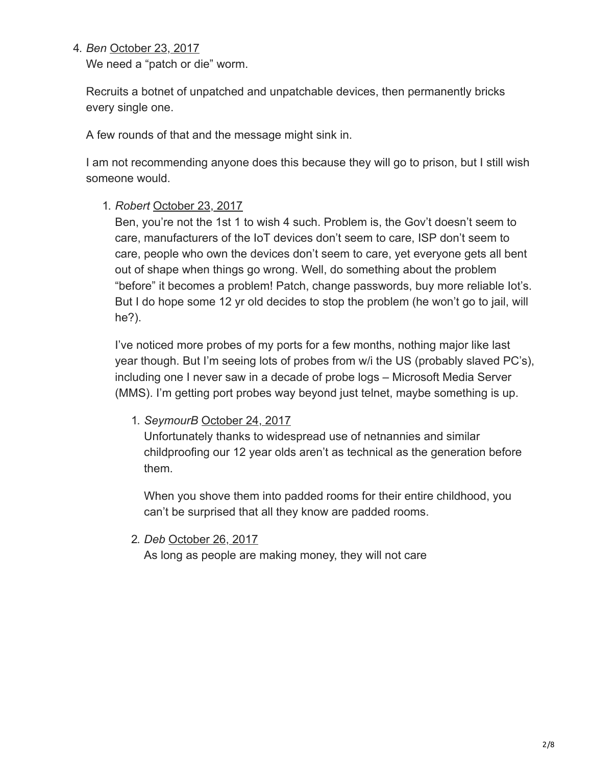#### 4. *Ben* [October 23, 2017](https://krebsonsecurity.com/2017/10/reaper-calm-before-the-iot-security-storm/#comment-447010)

We need a "patch or die" worm.

Recruits a botnet of unpatched and unpatchable devices, then permanently bricks every single one.

A few rounds of that and the message might sink in.

I am not recommending anyone does this because they will go to prison, but I still wish someone would.

## 1. *Robert* [October 23, 2017](https://krebsonsecurity.com/2017/10/reaper-calm-before-the-iot-security-storm/#comment-447090)

Ben, you're not the 1st 1 to wish 4 such. Problem is, the Gov't doesn't seem to care, manufacturers of the IoT devices don't seem to care, ISP don't seem to care, people who own the devices don't seem to care, yet everyone gets all bent out of shape when things go wrong. Well, do something about the problem "before" it becomes a problem! Patch, change passwords, buy more reliable Iot's. But I do hope some 12 yr old decides to stop the problem (he won't go to jail, will he?).

I've noticed more probes of my ports for a few months, nothing major like last year though. But I'm seeing lots of probes from w/i the US (probably slaved PC's), including one I never saw in a decade of probe logs – Microsoft Media Server (MMS). I'm getting port probes way beyond just telnet, maybe something is up.

1. *SeymourB* [October 24, 2017](https://krebsonsecurity.com/2017/10/reaper-calm-before-the-iot-security-storm/#comment-448438)

Unfortunately thanks to widespread use of netnannies and similar childproofing our 12 year olds aren't as technical as the generation before them.

When you shove them into padded rooms for their entire childhood, you can't be surprised that all they know are padded rooms.

2. *Deb* [October 26, 2017](https://krebsonsecurity.com/2017/10/reaper-calm-before-the-iot-security-storm/#comment-451103) As long as people are making money, they will not care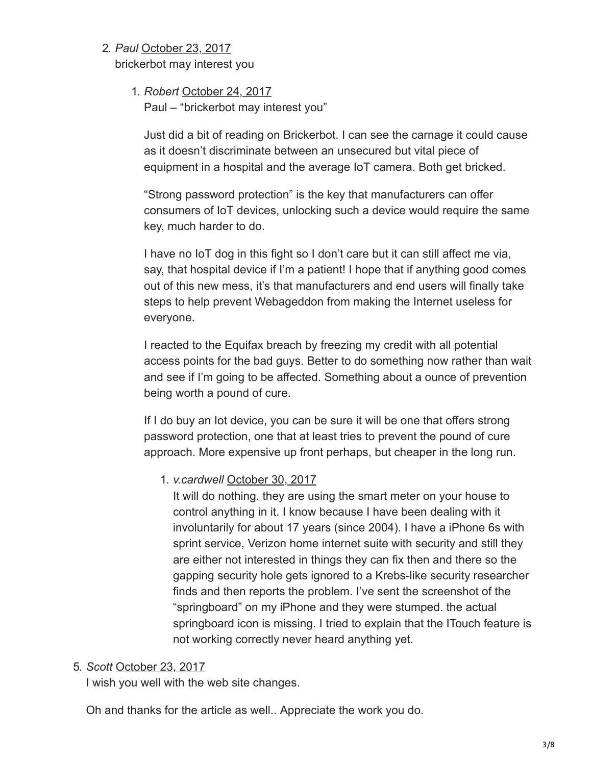#### 2. *Paul* [October 23, 2017](https://krebsonsecurity.com/2017/10/reaper-calm-before-the-iot-security-storm/#comment-447223)

brickerbot may interest you

#### 1. *Robert* [October 24, 2017](https://krebsonsecurity.com/2017/10/reaper-calm-before-the-iot-security-storm/#comment-448525)

Paul – "brickerbot may interest you"

Just did a bit of reading on Brickerbot. I can see the carnage it could cause as it doesn't discriminate between an unsecured but vital piece of equipment in a hospital and the average IoT camera. Both get bricked.

"Strong password protection" is the key that manufacturers can offer consumers of IoT devices, unlocking such a device would require the same key, much harder to do.

I have no IoT dog in this fight so I don't care but it can still affect me via, say, that hospital device if I'm a patient! I hope that if anything good comes out of this new mess, it's that manufacturers and end users will finally take steps to help prevent Webageddon from making the Internet useless for everyone.

I reacted to the Equifax breach by freezing my credit with all potential access points for the bad guys. Better to do something now rather than wait and see if I'm going to be affected. Something about a ounce of prevention being worth a pound of cure.

If I do buy an Iot device, you can be sure it will be one that offers strong password protection, one that at least tries to prevent the pound of cure approach. More expensive up front perhaps, but cheaper in the long run.

1. *v.cardwell* [October 30, 2017](https://krebsonsecurity.com/2017/10/reaper-calm-before-the-iot-security-storm/#comment-451552)

It will do nothing. they are using the smart meter on your house to control anything in it. I know because I have been dealing with it involuntarily for about 17 years (since 2004). I have a iPhone 6s with sprint service, Verizon home internet suite with security and still they are either not interested in things they can fix then and there so the gapping security hole gets ignored to a Krebs-like security researcher finds and then reports the problem. I've sent the screenshot of the "springboard" on my iPhone and they were stumped. the actual springboard icon is missing. I tried to explain that the ITouch feature is not working correctly never heard anything yet.

#### 5. *Scott* [October 23, 2017](https://krebsonsecurity.com/2017/10/reaper-calm-before-the-iot-security-storm/#comment-447013)

I wish you well with the web site changes.

Oh and thanks for the article as well.. Appreciate the work you do.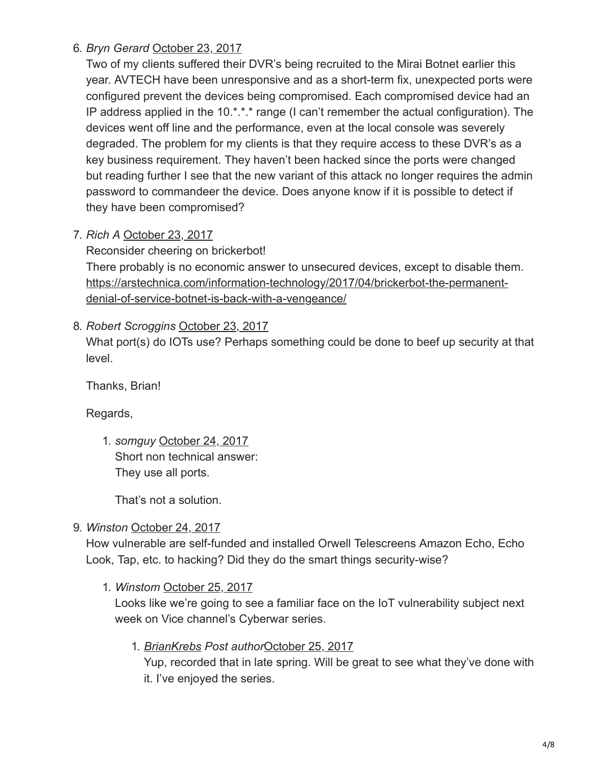6. *Bryn Gerard* [October 23, 2017](https://krebsonsecurity.com/2017/10/reaper-calm-before-the-iot-security-storm/#comment-447079)

Two of my clients suffered their DVR's being recruited to the Mirai Botnet earlier this year. AVTECH have been unresponsive and as a short-term fix, unexpected ports were configured prevent the devices being compromised. Each compromised device had an IP address applied in the 10.\*.\*.\* range (I can't remember the actual configuration). The devices went off line and the performance, even at the local console was severely degraded. The problem for my clients is that they require access to these DVR's as a key business requirement. They haven't been hacked since the ports were changed but reading further I see that the new variant of this attack no longer requires the admin password to commandeer the device. Does anyone know if it is possible to detect if they have been compromised?

7. *Rich A* [October 23, 2017](https://krebsonsecurity.com/2017/10/reaper-calm-before-the-iot-security-storm/#comment-447130)

Reconsider cheering on brickerbot! There probably is no economic answer to unsecured devices, except to disable them. [https://arstechnica.com/information-technology/2017/04/brickerbot-the-permanent](https://arstechnica.com/information-technology/2017/04/brickerbot-the-permanent-denial-of-service-botnet-is-back-with-a-vengeance/)denial-of-service-botnet-is-back-with-a-vengeance/

## 8. *Robert Scroggins* [October 23, 2017](https://krebsonsecurity.com/2017/10/reaper-calm-before-the-iot-security-storm/#comment-447166)

What port(s) do IOTs use? Perhaps something could be done to beef up security at that level.

Thanks, Brian!

Regards,

1. *somguy* [October 24, 2017](https://krebsonsecurity.com/2017/10/reaper-calm-before-the-iot-security-storm/#comment-448244) Short non technical answer: They use all ports.

That's not a solution.

## 9. *Winston* [October 24, 2017](https://krebsonsecurity.com/2017/10/reaper-calm-before-the-iot-security-storm/#comment-448163)

How vulnerable are self-funded and installed Orwell Telescreens Amazon Echo, Echo Look, Tap, etc. to hacking? Did they do the smart things security-wise?

1. *Winstom* [October 25, 2017](https://krebsonsecurity.com/2017/10/reaper-calm-before-the-iot-security-storm/#comment-449655)

Looks like we're going to see a familiar face on the IoT vulnerability subject next week on Vice channel's Cyberwar series.

## 1. *[BrianKrebs](http://www.krebsonsecurity.com/) Post author*[October 25, 2017](https://krebsonsecurity.com/2017/10/reaper-calm-before-the-iot-security-storm/#comment-449698)

Yup, recorded that in late spring. Will be great to see what they've done with it. I've enjoyed the series.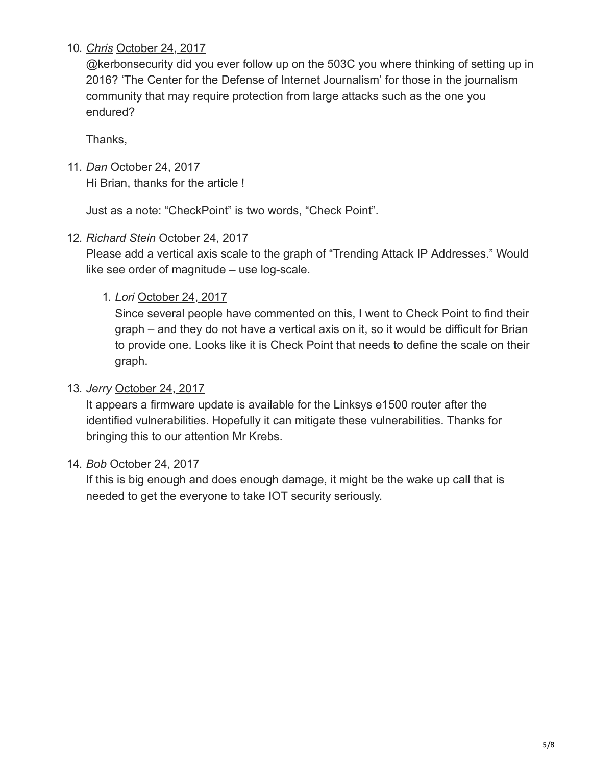## 10. *[Chris](http://na/)* [October 24, 2017](https://krebsonsecurity.com/2017/10/reaper-calm-before-the-iot-security-storm/#comment-448169)

@kerbonsecurity did you ever follow up on the 503C you where thinking of setting up in 2016? 'The Center for the Defense of Internet Journalism' for those in the journalism community that may require protection from large attacks such as the one you endured?

Thanks,

11. *Dan* [October 24, 2017](https://krebsonsecurity.com/2017/10/reaper-calm-before-the-iot-security-storm/#comment-448209)

Hi Brian, thanks for the article !

Just as a note: "CheckPoint" is two words, "Check Point".

12. *Richard Stein* [October 24, 2017](https://krebsonsecurity.com/2017/10/reaper-calm-before-the-iot-security-storm/#comment-448233)

Please add a vertical axis scale to the graph of "Trending Attack IP Addresses." Would like see order of magnitude – use log-scale.

## 1. *Lori* [October 24, 2017](https://krebsonsecurity.com/2017/10/reaper-calm-before-the-iot-security-storm/#comment-448467)

Since several people have commented on this, I went to Check Point to find their graph – and they do not have a vertical axis on it, so it would be difficult for Brian to provide one. Looks like it is Check Point that needs to define the scale on their graph.

#### 13. *Jerry* [October 24, 2017](https://krebsonsecurity.com/2017/10/reaper-calm-before-the-iot-security-storm/#comment-448305)

It appears a firmware update is available for the Linksys e1500 router after the identified vulnerabilities. Hopefully it can mitigate these vulnerabilities. Thanks for bringing this to our attention Mr Krebs.

## 14. *Bob* [October 24, 2017](https://krebsonsecurity.com/2017/10/reaper-calm-before-the-iot-security-storm/#comment-448376)

If this is big enough and does enough damage, it might be the wake up call that is needed to get the everyone to take IOT security seriously.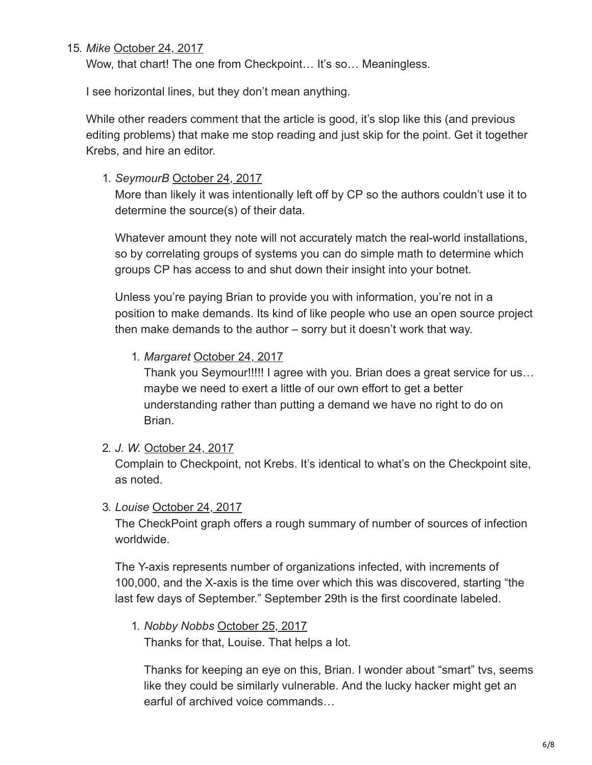#### 15. *Mike* [October 24, 2017](https://krebsonsecurity.com/2017/10/reaper-calm-before-the-iot-security-storm/#comment-448422)

Wow, that chart! The one from Checkpoint... It's so... Meaningless.

I see horizontal lines, but they don't mean anything.

While other readers comment that the article is good, it's slop like this (and previous editing problems) that make me stop reading and just skip for the point. Get it together Krebs, and hire an editor.

1. *SeymourB* [October 24, 2017](https://krebsonsecurity.com/2017/10/reaper-calm-before-the-iot-security-storm/#comment-448470)

More than likely it was intentionally left off by CP so the authors couldn't use it to determine the source(s) of their data.

Whatever amount they note will not accurately match the real-world installations, so by correlating groups of systems you can do simple math to determine which groups CP has access to and shut down their insight into your botnet.

Unless you're paying Brian to provide you with information, you're not in a position to make demands. Its kind of like people who use an open source project then make demands to the author – sorry but it doesn't work that way.

#### 1. *Margaret* [October 24, 2017](https://krebsonsecurity.com/2017/10/reaper-calm-before-the-iot-security-storm/#comment-448929)

Thank you Seymour!!!!! I agree with you. Brian does a great service for us… maybe we need to exert a little of our own effort to get a better understanding rather than putting a demand we have no right to do on Brian.

2. *J. W.* [October 24, 2017](https://krebsonsecurity.com/2017/10/reaper-calm-before-the-iot-security-storm/#comment-448490)

Complain to Checkpoint, not Krebs. It's identical to what's on the Checkpoint site, as noted.

3. *Louise* [October 24, 2017](https://krebsonsecurity.com/2017/10/reaper-calm-before-the-iot-security-storm/#comment-448717)

The CheckPoint graph offers a rough summary of number of sources of infection worldwide.

The Y-axis represents number of organizations infected, with increments of 100,000, and the X-axis is the time over which this was discovered, starting "the last few days of September." September 29th is the first coordinate labeled.

#### 1. *Nobby Nobbs* [October 25, 2017](https://krebsonsecurity.com/2017/10/reaper-calm-before-the-iot-security-storm/#comment-449738) Thanks for that, Louise. That helps a lot.

Thanks for keeping an eye on this, Brian. I wonder about "smart" tvs, seems like they could be similarly vulnerable. And the lucky hacker might get an earful of archived voice commands…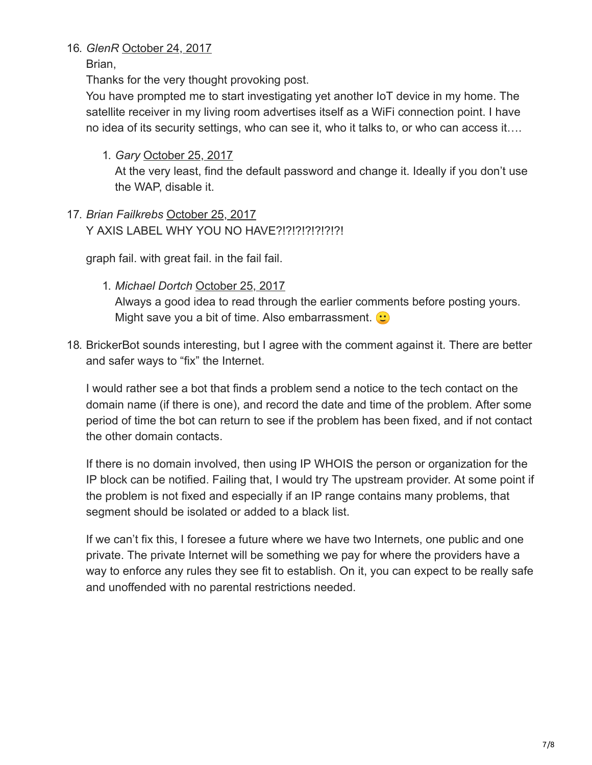#### 16. *GlenR* [October 24, 2017](https://krebsonsecurity.com/2017/10/reaper-calm-before-the-iot-security-storm/#comment-449039)

Brian,

Thanks for the very thought provoking post.

You have prompted me to start investigating yet another IoT device in my home. The satellite receiver in my living room advertises itself as a WiFi connection point. I have no idea of its security settings, who can see it, who it talks to, or who can access it….

1. *Gary* [October 25, 2017](https://krebsonsecurity.com/2017/10/reaper-calm-before-the-iot-security-storm/#comment-449259)

At the very least, find the default password and change it. Ideally if you don't use the WAP, disable it.

17. *Brian Failkrebs* [October 25, 2017](https://krebsonsecurity.com/2017/10/reaper-calm-before-the-iot-security-storm/#comment-449583) Y AXIS LABEL WHY YOU NO HAVE?!?!?!?!?!?!?!

graph fail. with great fail. in the fail fail.

- 1. *Michael Dortch* [October 25, 2017](https://krebsonsecurity.com/2017/10/reaper-calm-before-the-iot-security-storm/#comment-450106) Always a good idea to read through the earlier comments before posting yours. Might save you a bit of time. Also embarrassment.  $\bullet$
- 18. BrickerBot sounds interesting, but I agree with the comment against it. There are better and safer ways to "fix" the Internet.

I would rather see a bot that finds a problem send a notice to the tech contact on the domain name (if there is one), and record the date and time of the problem. After some period of time the bot can return to see if the problem has been fixed, and if not contact the other domain contacts.

If there is no domain involved, then using IP WHOIS the person or organization for the IP block can be notified. Failing that, I would try The upstream provider. At some point if the problem is not fixed and especially if an IP range contains many problems, that segment should be isolated or added to a black list.

If we can't fix this, I foresee a future where we have two Internets, one public and one private. The private Internet will be something we pay for where the providers have a way to enforce any rules they see fit to establish. On it, you can expect to be really safe and unoffended with no parental restrictions needed.